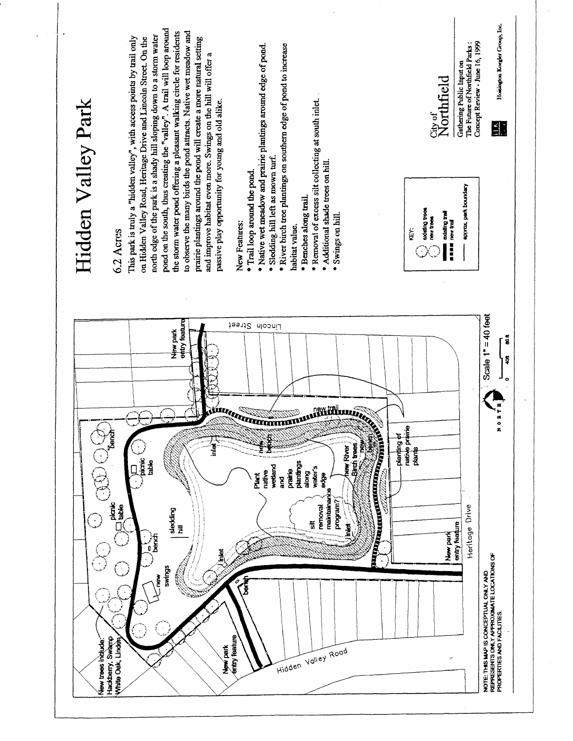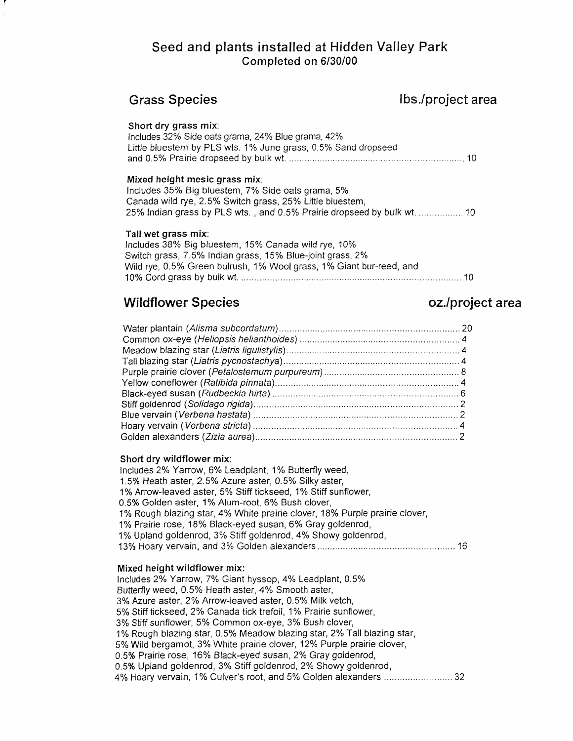## Seed and plants installed at Hidden Valley Park Completed on 6/30/00

| <b>Grass Species</b>                                                                                                                                                                                                                                                                                                                                                                                                                                                                                                                                                                                                      | lbs./project area |
|---------------------------------------------------------------------------------------------------------------------------------------------------------------------------------------------------------------------------------------------------------------------------------------------------------------------------------------------------------------------------------------------------------------------------------------------------------------------------------------------------------------------------------------------------------------------------------------------------------------------------|-------------------|
| Short dry grass mix:<br>Includes 32% Side oats grama, 24% Blue grama, 42%<br>Little bluestem by PLS wts. 1% June grass, 0.5% Sand dropseed                                                                                                                                                                                                                                                                                                                                                                                                                                                                                |                   |
| Mixed height mesic grass mix:<br>Includes 35% Big bluestem, 7% Side oats grama, 5%<br>Canada wild rye, 2.5% Switch grass, 25% Little bluestem,<br>25% Indian grass by PLS wts., and 0.5% Prairie dropseed by bulk wt.  10                                                                                                                                                                                                                                                                                                                                                                                                 |                   |
| Tall wet grass mix:<br>Includes 38% Big bluestem, 15% Canada wild rye, 10%<br>Switch grass, 7.5% Indian grass, 15% Blue-joint grass, 2%<br>Wild rye, 0.5% Green bulrush, 1% Wool grass, 1% Giant bur-reed, and                                                                                                                                                                                                                                                                                                                                                                                                            |                   |
| <b>Wildflower Species</b>                                                                                                                                                                                                                                                                                                                                                                                                                                                                                                                                                                                                 | oz./project area  |
|                                                                                                                                                                                                                                                                                                                                                                                                                                                                                                                                                                                                                           |                   |
| Short dry wildflower mix:<br>Includes 2% Yarrow, 6% Leadplant, 1% Butterfly weed,<br>1.5% Heath aster, 2.5% Azure aster, 0.5% Silky aster,<br>1% Arrow-leaved aster, 5% Stiff tickseed, 1% Stiff sunflower,<br>0.5% Golden aster, 1% Alum-root, 6% Bush clover,<br>1% Rough blazing star, 4% White prairie clover, 18% Purple prairie clover,<br>1% Prairie rose, 18% Black-eyed susan, 6% Gray goldenrod,<br>1% Upland goldenrod, 3% Stiff goldenrod, 4% Showy goldenrod,                                                                                                                                                |                   |
| Mixed height wildflower mix:<br>Includes 2% Yarrow, 7% Giant hyssop, 4% Leadplant, 0.5%<br>Butterfly weed, 0.5% Heath aster, 4% Smooth aster,<br>3% Azure aster, 2% Arrow-leaved aster, 0.5% Milk vetch,<br>5% Stiff tickseed, 2% Canada tick trefoil, 1% Prairie sunflower,<br>3% Stiff sunflower, 5% Common ox-eye, 3% Bush clover,<br>1% Rough blazing star, 0.5% Meadow blazing star, 2% Tall blazing star,<br>5% Wild bergamot, 3% White prairie clover, 12% Purple prairie clover,<br>0.5% Prairie rose, 16% Black-eyed susan, 2% Gray goldenrod,<br>0.5% Upland goldenrod, 3% Stiff goldenrod, 2% Showy goldenrod, |                   |

4% Hoary vervain, 1% Culver's root, and 5% Golden alexanders ............................ 32

 $\bar{z}$